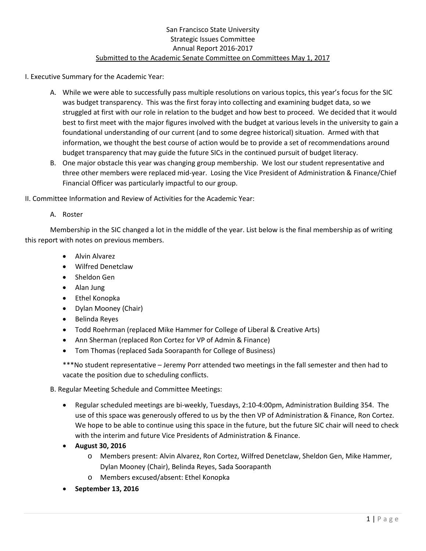I. Executive Summary for the Academic Year:

- A. While we were able to successfully pass multiple resolutions on various topics, this year's focus for the SIC was budget transparency. This was the first foray into collecting and examining budget data, so we struggled at first with our role in relation to the budget and how best to proceed. We decided that it would best to first meet with the major figures involved with the budget at various levels in the university to gain a foundational understanding of our current (and to some degree historical) situation. Armed with that information, we thought the best course of action would be to provide a set of recommendations around budget transparency that may guide the future SICs in the continued pursuit of budget literacy.
- B. One major obstacle this year was changing group membership. We lost our student representative and three other members were replaced mid-year. Losing the Vice President of Administration & Finance/Chief Financial Officer was particularly impactful to our group.
- II. Committee Information and Review of Activities for the Academic Year:
	- A. Roster

Membership in the SIC changed a lot in the middle of the year. List below is the final membership as of writing this report with notes on previous members.

- Alvin Alvarez
- Wilfred Denetclaw
- Sheldon Gen
- Alan Jung
- Ethel Konopka
- Dylan Mooney (Chair)
- Belinda Reyes
- Todd Roehrman (replaced Mike Hammer for College of Liberal & Creative Arts)
- Ann Sherman (replaced Ron Cortez for VP of Admin & Finance)
- Tom Thomas (replaced Sada Soorapanth for College of Business)

\*\*\*No student representative – Jeremy Porr attended two meetings in the fall semester and then had to vacate the position due to scheduling conflicts.

B. Regular Meeting Schedule and Committee Meetings:

- Regular scheduled meetings are bi-weekly, Tuesdays, 2:10-4:00pm, Administration Building 354. The use of this space was generously offered to us by the then VP of Administration & Finance, Ron Cortez. We hope to be able to continue using this space in the future, but the future SIC chair will need to check with the interim and future Vice Presidents of Administration & Finance.
- **August 30, 2016**
	- o Members present: Alvin Alvarez, Ron Cortez, Wilfred Denetclaw, Sheldon Gen, Mike Hammer, Dylan Mooney (Chair), Belinda Reyes, Sada Soorapanth
	- o Members excused/absent: Ethel Konopka
- **September 13, 2016**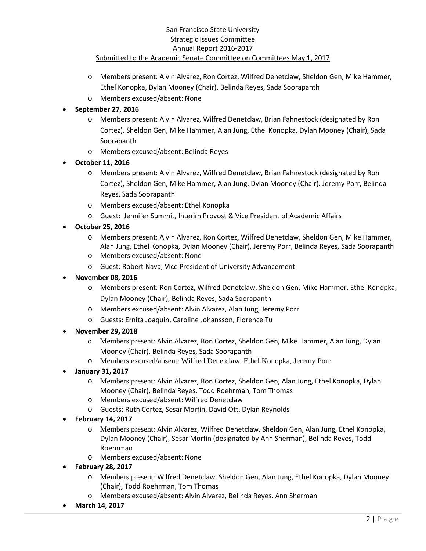- o Members present: Alvin Alvarez, Ron Cortez, Wilfred Denetclaw, Sheldon Gen, Mike Hammer, Ethel Konopka, Dylan Mooney (Chair), Belinda Reyes, Sada Soorapanth
- o Members excused/absent: None

# • **September 27, 2016**

- o Members present: Alvin Alvarez, Wilfred Denetclaw, Brian Fahnestock (designated by Ron Cortez), Sheldon Gen, Mike Hammer, Alan Jung, Ethel Konopka, Dylan Mooney (Chair), Sada Soorapanth
- o Members excused/absent: Belinda Reyes
- **October 11, 2016**
	- o Members present: Alvin Alvarez, Wilfred Denetclaw, Brian Fahnestock (designated by Ron Cortez), Sheldon Gen, Mike Hammer, Alan Jung, Dylan Mooney (Chair), Jeremy Porr, Belinda Reyes, Sada Soorapanth
	- o Members excused/absent: Ethel Konopka
	- o Guest: Jennifer Summit, Interim Provost & Vice President of Academic Affairs
- **October 25, 2016**
	- o Members present: Alvin Alvarez, Ron Cortez, Wilfred Denetclaw, Sheldon Gen, Mike Hammer, Alan Jung, Ethel Konopka, Dylan Mooney (Chair), Jeremy Porr, Belinda Reyes, Sada Soorapanth
	- o Members excused/absent: None
	- o Guest: Robert Nava, Vice President of University Advancement
- **November 08, 2016**
	- o Members present: Ron Cortez, Wilfred Denetclaw, Sheldon Gen, Mike Hammer, Ethel Konopka, Dylan Mooney (Chair), Belinda Reyes, Sada Soorapanth
	- o Members excused/absent: Alvin Alvarez, Alan Jung, Jeremy Porr
	- o Guests: Ernita Joaquin, Caroline Johansson, Florence Tu
- **November 29, 2018**
	- o Members present: Alvin Alvarez, Ron Cortez, Sheldon Gen, Mike Hammer, Alan Jung, Dylan Mooney (Chair), Belinda Reyes, Sada Soorapanth
	- o Members excused/absent: Wilfred Denetclaw, Ethel Konopka, Jeremy Porr
- **January 31, 2017**
	- o Members present: Alvin Alvarez, Ron Cortez, Sheldon Gen, Alan Jung, Ethel Konopka, Dylan Mooney (Chair), Belinda Reyes, Todd Roehrman, Tom Thomas
	- o Members excused/absent: Wilfred Denetclaw
	- o Guests: Ruth Cortez, Sesar Morfin, David Ott, Dylan Reynolds
- **February 14, 2017**
	- o Members present: Alvin Alvarez, Wilfred Denetclaw, Sheldon Gen, Alan Jung, Ethel Konopka, Dylan Mooney (Chair), Sesar Morfin (designated by Ann Sherman), Belinda Reyes, Todd Roehrman
	- o Members excused/absent: None
- **February 28, 2017**
	- o Members present: Wilfred Denetclaw, Sheldon Gen, Alan Jung, Ethel Konopka, Dylan Mooney (Chair), Todd Roehrman, Tom Thomas
	- o Members excused/absent: Alvin Alvarez, Belinda Reyes, Ann Sherman
- **March 14, 2017**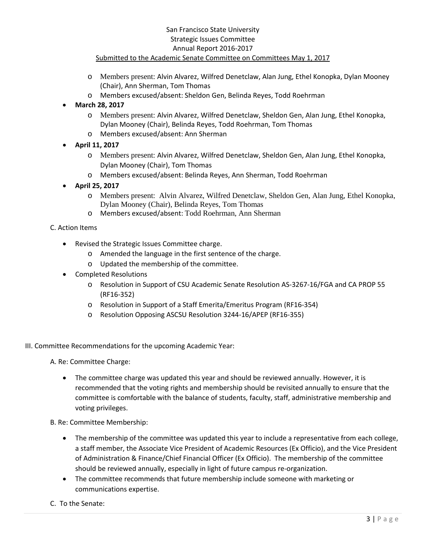- o Members present: Alvin Alvarez, Wilfred Denetclaw, Alan Jung, Ethel Konopka, Dylan Mooney (Chair), Ann Sherman, Tom Thomas
- o Members excused/absent: Sheldon Gen, Belinda Reyes, Todd Roehrman
- **March 28, 2017**
	- o Members present: Alvin Alvarez, Wilfred Denetclaw, Sheldon Gen, Alan Jung, Ethel Konopka, Dylan Mooney (Chair), Belinda Reyes, Todd Roehrman, Tom Thomas
	- o Members excused/absent: Ann Sherman
- **April 11, 2017** 
	- o Members present: Alvin Alvarez, Wilfred Denetclaw, Sheldon Gen, Alan Jung, Ethel Konopka, Dylan Mooney (Chair), Tom Thomas
	- o Members excused/absent: Belinda Reyes, Ann Sherman, Todd Roehrman
- **April 25, 2017**
	- o Members present: Alvin Alvarez, Wilfred Denetclaw, Sheldon Gen, Alan Jung, Ethel Konopka, Dylan Mooney (Chair), Belinda Reyes, Tom Thomas
	- o Members excused/absent: Todd Roehrman, Ann Sherman
- C. Action Items
	- Revised the Strategic Issues Committee charge.
		- o Amended the language in the first sentence of the charge.
		- o Updated the membership of the committee.
	- Completed Resolutions
		- o Resolution in Support of CSU Academic Senate Resolution AS-3267-16/FGA and CA PROP 55 (RF16-352)
		- o Resolution in Support of a Staff Emerita/Emeritus Program (RF16-354)
		- o Resolution Opposing ASCSU Resolution 3244-16/APEP (RF16-355)
- III. Committee Recommendations for the upcoming Academic Year:

A. Re: Committee Charge:

- The committee charge was updated this year and should be reviewed annually. However, it is recommended that the voting rights and membership should be revisited annually to ensure that the committee is comfortable with the balance of students, faculty, staff, administrative membership and voting privileges.
- B. Re: Committee Membership:
	- The membership of the committee was updated this year to include a representative from each college, a staff member, the Associate Vice President of Academic Resources (Ex Officio), and the Vice President of Administration & Finance/Chief Financial Officer (Ex Officio). The membership of the committee should be reviewed annually, especially in light of future campus re-organization.
	- The committee recommends that future membership include someone with marketing or communications expertise.
- C. To the Senate: